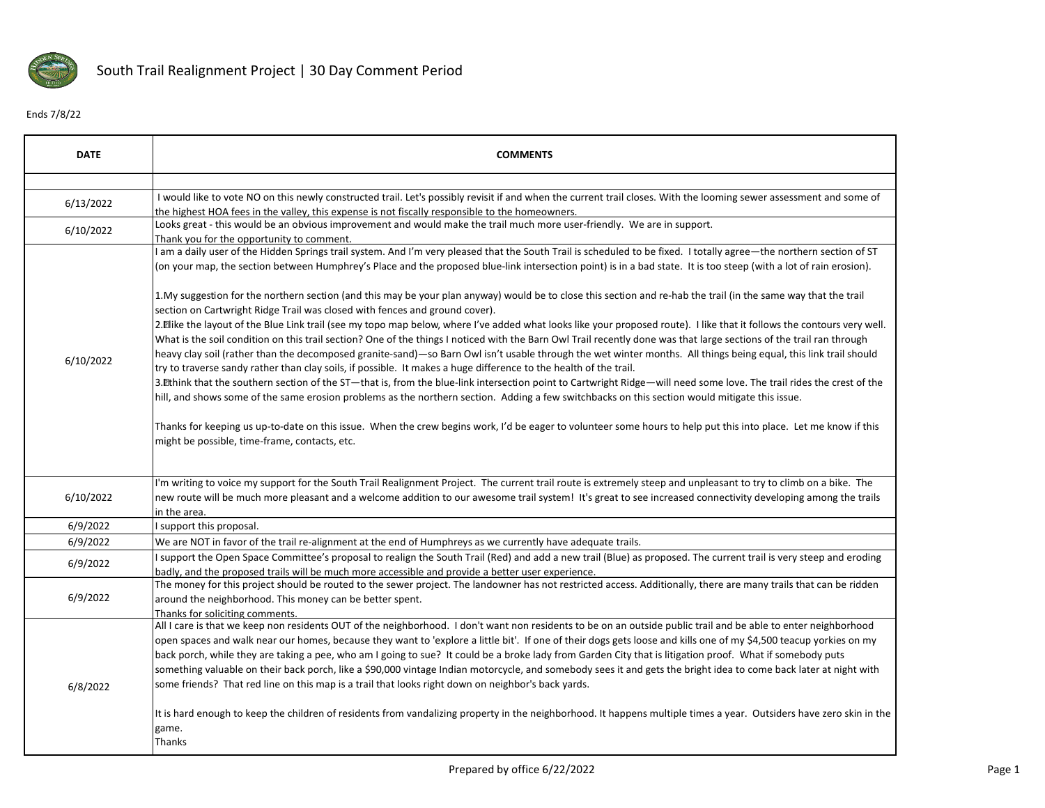

## Ends 7/8/22

| <b>DATE</b> | <b>COMMENTS</b>                                                                                                                                                                                                                                                                                                                                                                                                                                                                                                                                                                                                                                                                                                                                                               |
|-------------|-------------------------------------------------------------------------------------------------------------------------------------------------------------------------------------------------------------------------------------------------------------------------------------------------------------------------------------------------------------------------------------------------------------------------------------------------------------------------------------------------------------------------------------------------------------------------------------------------------------------------------------------------------------------------------------------------------------------------------------------------------------------------------|
|             |                                                                                                                                                                                                                                                                                                                                                                                                                                                                                                                                                                                                                                                                                                                                                                               |
| 6/13/2022   | I would like to vote NO on this newly constructed trail. Let's possibly revisit if and when the current trail closes. With the looming sewer assessment and some of<br>the highest HOA fees in the valley, this expense is not fiscally responsible to the homeowners.                                                                                                                                                                                                                                                                                                                                                                                                                                                                                                        |
| 6/10/2022   | Looks great - this would be an obvious improvement and would make the trail much more user-friendly. We are in support.<br>Thank you for the opportunity to comment.                                                                                                                                                                                                                                                                                                                                                                                                                                                                                                                                                                                                          |
|             | I am a daily user of the Hidden Springs trail system. And I'm very pleased that the South Trail is scheduled to be fixed. I totally agree—the northern section of ST<br>(on your map, the section between Humphrey's Place and the proposed blue-link intersection point) is in a bad state. It is too steep (with a lot of rain erosion).                                                                                                                                                                                                                                                                                                                                                                                                                                    |
|             | 1. My suggestion for the northern section (and this may be your plan anyway) would be to close this section and re-hab the trail (in the same way that the trail<br>section on Cartwright Ridge Trail was closed with fences and ground cover).                                                                                                                                                                                                                                                                                                                                                                                                                                                                                                                               |
| 6/10/2022   | 2. Elike the layout of the Blue Link trail (see my topo map below, where I've added what looks like your proposed route). I like that it follows the contours very well.<br>What is the soil condition on this trail section? One of the things I noticed with the Barn Owl Trail recently done was that large sections of the trail ran through<br>heavy clay soil (rather than the decomposed granite-sand)-so Barn Owl isn't usable through the wet winter months. All things being equal, this link trail should<br>try to traverse sandy rather than clay soils, if possible. It makes a huge difference to the health of the trail.                                                                                                                                     |
|             | 3. Ethink that the southern section of the ST—that is, from the blue-link intersection point to Cartwright Ridge—will need some love. The trail rides the crest of the<br>hill, and shows some of the same erosion problems as the northern section. Adding a few switchbacks on this section would mitigate this issue.                                                                                                                                                                                                                                                                                                                                                                                                                                                      |
|             | Thanks for keeping us up-to-date on this issue. When the crew begins work, I'd be eager to volunteer some hours to help put this into place. Let me know if this<br>might be possible, time-frame, contacts, etc.                                                                                                                                                                                                                                                                                                                                                                                                                                                                                                                                                             |
| 6/10/2022   | I'm writing to voice my support for the South Trail Realignment Project. The current trail route is extremely steep and unpleasant to try to climb on a bike. The<br>new route will be much more pleasant and a welcome addition to our awesome trail system! It's great to see increased connectivity developing among the trails<br>in the area.                                                                                                                                                                                                                                                                                                                                                                                                                            |
| 6/9/2022    | I support this proposal.                                                                                                                                                                                                                                                                                                                                                                                                                                                                                                                                                                                                                                                                                                                                                      |
| 6/9/2022    | We are NOT in favor of the trail re-alignment at the end of Humphreys as we currently have adequate trails.                                                                                                                                                                                                                                                                                                                                                                                                                                                                                                                                                                                                                                                                   |
| 6/9/2022    | support the Open Space Committee's proposal to realign the South Trail (Red) and add a new trail (Blue) as proposed. The current trail is very steep and eroding<br>badly, and the proposed trails will be much more accessible and provide a better user experience.                                                                                                                                                                                                                                                                                                                                                                                                                                                                                                         |
| 6/9/2022    | The money for this project should be routed to the sewer project. The landowner has not restricted access. Additionally, there are many trails that can be ridden<br>around the neighborhood. This money can be better spent.<br>Thanks for soliciting comments.                                                                                                                                                                                                                                                                                                                                                                                                                                                                                                              |
| 6/8/2022    | All I care is that we keep non residents OUT of the neighborhood. I don't want non residents to be on an outside public trail and be able to enter neighborhood<br>open spaces and walk near our homes, because they want to 'explore a little bit'. If one of their dogs gets loose and kills one of my \$4,500 teacup yorkies on my<br>back porch, while they are taking a pee, who am I going to sue? It could be a broke lady from Garden City that is litigation proof. What if somebody puts<br>something valuable on their back porch, like a \$90,000 vintage Indian motorcycle, and somebody sees it and gets the bright idea to come back later at night with<br>some friends? That red line on this map is a trail that looks right down on neighbor's back yards. |
|             | It is hard enough to keep the children of residents from vandalizing property in the neighborhood. It happens multiple times a year. Outsiders have zero skin in the<br>game.<br>Thanks                                                                                                                                                                                                                                                                                                                                                                                                                                                                                                                                                                                       |